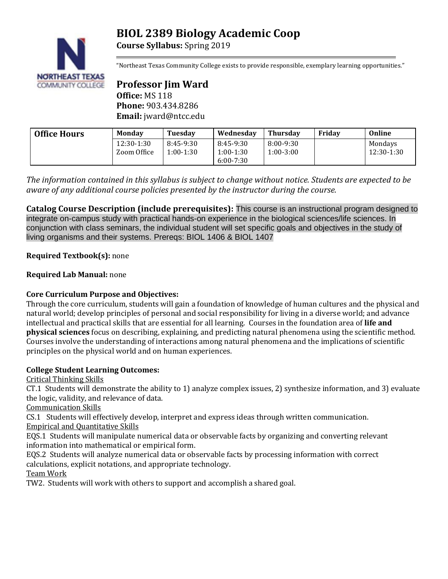# **BIOL 2389 Biology Academic Coop**



**Course Syllabus:** Spring 2019

"Northeast Texas Community College exists to provide responsible, exemplary learning opportunities."

## **Professor Jim Ward Office:** MS 118 **Phone:** 903.434.8286 **Email:** jward@ntcc.edu

| <b>Office Hours</b> | Mondav                    | Tuesdav                  | Wednesdav                | <b>Thursdav</b>              | Fridav | Online                |
|---------------------|---------------------------|--------------------------|--------------------------|------------------------------|--------|-----------------------|
|                     | 12:30-1:30<br>Zoom Office | 8:45-9:30<br>$1:00-1:30$ | 8:45-9:30<br>$1:00-1:30$ | $8:00 - 9:30$<br>$1:00-3:00$ |        | Mondays<br>12:30-1:30 |
|                     |                           |                          | 6:00-7:30                |                              |        |                       |

*The information contained in this syllabus is subject to change without notice. Students are expected to be aware of any additional course policies presented by the instructor during the course.*

**Catalog Course Description (include prerequisites):** This course is an instructional program designed to integrate on-campus study with practical hands-on experience in the biological sciences/life sciences. In conjunction with class seminars, the individual student will set specific goals and objectives in the study of living organisms and their systems. Prereqs: BIOL 1406 & BIOL 1407

## **Required Textbook(s):** none

## **Required Lab Manual:** none

## **Core Curriculum Purpose and Objectives:**

Through the core curriculum, students will gain a foundation of knowledge of human cultures and the physical and natural world; develop principles of personal and social responsibility for living in a diverse world; and advance intellectual and practical skills that are essential for all learning. Courses in the foundation area of **life and physical sciences** focus on describing, explaining, and predicting natural phenomena using the scientific method. Courses involve the understanding of interactions among natural phenomena and the implications of scientific principles on the physical world and on human experiences.

## **College Student Learning Outcomes:**

Critical Thinking Skills

CT.1 Students will demonstrate the ability to 1) analyze complex issues, 2) synthesize information, and 3) evaluate the logic, validity, and relevance of data.

Communication Skills

CS.1 Students will effectively develop, interpret and express ideas through written communication.

Empirical and Quantitative Skills

EQS.1 Students will manipulate numerical data or observable facts by organizing and converting relevant information into mathematical or empirical form.

EQS.2 Students will analyze numerical data or observable facts by processing information with correct calculations, explicit notations, and appropriate technology.

#### Team Work

TW2. Students will work with others to support and accomplish a shared goal.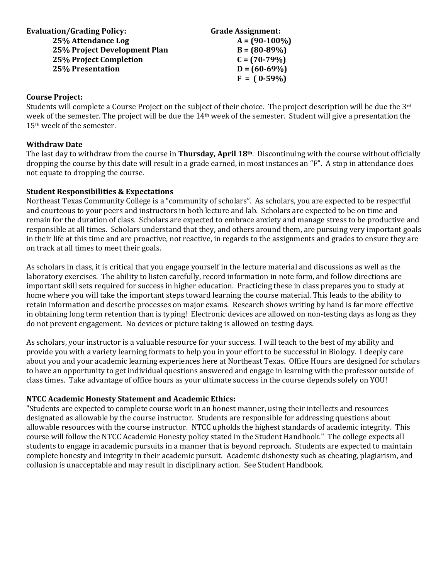| <b>Evaluation/Grading Policy:</b> | <b>Grade Assignment:</b> |  |  |
|-----------------------------------|--------------------------|--|--|
| 25% Attendance Log                | $A = (90-100\%)$         |  |  |
| 25% Project Development Plan      | $B = (80-89%)$           |  |  |
| <b>25% Project Completion</b>     | $C = (70-79%)$           |  |  |
| <b>25% Presentation</b>           | $D = (60-69\%)$          |  |  |
|                                   | $F = (0.59\%)$           |  |  |

#### **Course Project:**

Students will complete a Course Project on the subject of their choice. The project description will be due the 3rd week of the semester. The project will be due the 14th week of the semester. Student will give a presentation the 15th week of the semester.

#### **Withdraw Date**

The last day to withdraw from the course in **Thursday, April 18th**. Discontinuing with the course without officially dropping the course by this date will result in a grade earned, in most instances an "F". A stop in attendance does not equate to dropping the course.

#### **Student Responsibilities & Expectations**

Northeast Texas Community College is a "community of scholars". As scholars, you are expected to be respectful and courteous to your peers and instructors in both lecture and lab. Scholars are expected to be on time and remain for the duration of class. Scholars are expected to embrace anxiety and manage stress to be productive and responsible at all times. Scholars understand that they, and others around them, are pursuing very important goals in their life at this time and are proactive, not reactive, in regards to the assignments and grades to ensure they are on track at all times to meet their goals.

As scholars in class, it is critical that you engage yourself in the lecture material and discussions as well as the laboratory exercises. The ability to listen carefully, record information in note form, and follow directions are important skill sets required for success in higher education. Practicing these in class prepares you to study at home where you will take the important steps toward learning the course material. This leads to the ability to retain information and describe processes on major exams. Research shows writing by hand is far more effective in obtaining long term retention than is typing! Electronic devices are allowed on non-testing days as long as they do not prevent engagement. No devices or picture taking is allowed on testing days.

As scholars, your instructor is a valuable resource for your success. I will teach to the best of my ability and provide you with a variety learning formats to help you in your effort to be successful in Biology. I deeply care about you and your academic learning experiences here at Northeast Texas. Office Hours are designed for scholars to have an opportunity to get individual questions answered and engage in learning with the professor outside of class times. Take advantage of office hours as your ultimate success in the course depends solely on YOU!

#### **NTCC Academic Honesty Statement and Academic Ethics:**

"Students are expected to complete course work in an honest manner, using their intellects and resources designated as allowable by the course instructor. Students are responsible for addressing questions about allowable resources with the course instructor. NTCC upholds the highest standards of academic integrity. This course will follow the NTCC Academic Honesty policy stated in the Student Handbook." The college expects all students to engage in academic pursuits in a manner that is beyond reproach. Students are expected to maintain complete honesty and integrity in their academic pursuit. Academic dishonesty such as cheating, plagiarism, and collusion is unacceptable and may result in disciplinary action. See Student Handbook.